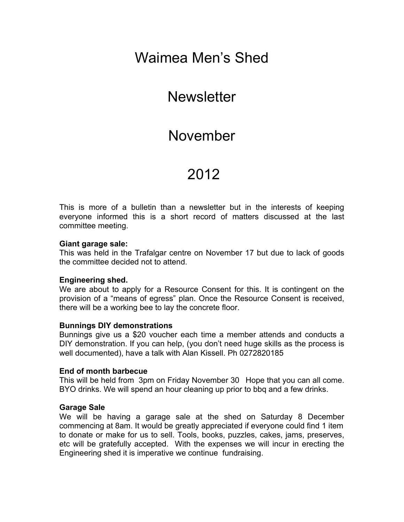# Waimea Men's Shed

# **Newsletter**

# November

# 2012

This is more of a bulletin than a newsletter but in the interests of keeping everyone informed this is a short record of matters discussed at the last committee meeting.

#### **Giant garage sale:**

This was held in the Trafalgar centre on November 17 but due to lack of goods the committee decided not to attend.

#### **Engineering shed.**

We are about to apply for a Resource Consent for this. It is contingent on the provision of a "means of egress" plan. Once the Resource Consent is received, there will be a working bee to lay the concrete floor.

#### **Bunnings DIY demonstrations**

Bunnings give us a \$20 voucher each time a member attends and conducts a DIY demonstration. If you can help, (you don't need huge skills as the process is well documented), have a talk with Alan Kissell. Ph 0272820185

#### **End of month barbecue**

This will be held from 3pm on Friday November 30 Hope that you can all come. BYO drinks. We will spend an hour cleaning up prior to bbq and a few drinks.

#### **Garage Sale**

We will be having a garage sale at the shed on Saturday 8 December commencing at 8am. It would be greatly appreciated if everyone could find 1 item to donate or make for us to sell. Tools, books, puzzles, cakes, jams, preserves, etc will be gratefully accepted. With the expenses we will incur in erecting the Engineering shed it is imperative we continue fundraising.